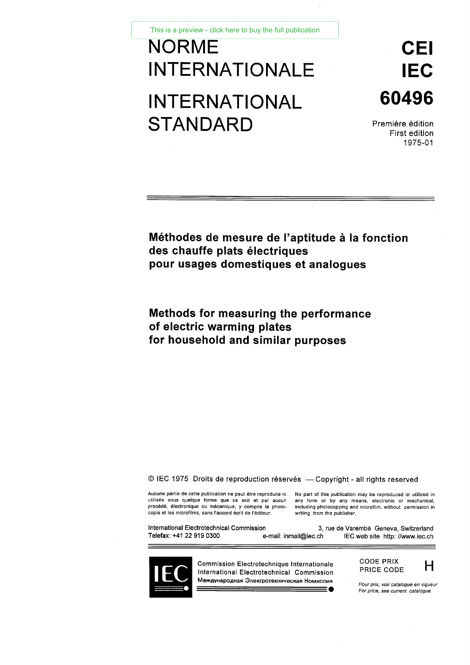This is a preview - click here to buy the full publication

# NORME CEI This is a preview - click here to buy the full publication<br>
INTERNATIONALE IEC<br>
INTERNATIONAL 60496<br>
STANDARD Première édition This is a preview - click here to buy the full publicat<br> **NORME**<br>
INTERNATIONALE<br>
STANDARD STANDARD Première édition

60496

First edition 1975-01

## **Méthodes de mesure de l'aptitude à la fonction des chauffe plats électriques pour usages domestiques et analogues**

# **Methods for measuring the performance of electric warming plates for household and similar purposes**

#### © IEC 1975 Droits de reproduction réservés — Copyright - all rights reserved

© IEC 1975 Droits de reproduction réservés — Copyright – all rights reserved<br>Aucune partie de cette publication ne peut être reproduite ni No part of this publication may be reproduced or utilized in<br>utilisée sous quelque Copyright -<br>Aucune partie de cette publication ne peut être reproduite ni Mo part of this publication<br>utilisée sous quelque forme que ce soit et par aucune any form or by any<br>procédé, électronique ou mécanique, y compris l

G IEC 1975 Droits de reproduction réservés — Copyright - all rights reserved<br>Aucune partie de cette publication ne peut être reproduite ni<br>Depart of this publication may be reproduced or utilized<br>international commission q CODE PDIX<br>
The mail of this publication may be reproduced or utilized in<br>
Aucune partie de cette publication ne peut être reproduite ni<br>
No part of this publication may be reproduced or utilized in<br>
Unitiative sous quelque e de Varembé Geneva, Switzerland<br>
IEC web site http://www.iec.cl<br> **For price, see current** catalogue<br> **For price, see current catalogue** 



Commission Electrotechnique Internationale International Electrotechnical Commission Международная Электротехническая Комиссия *<u>t()</u> i ( | | i l i l i l* 

CODE PRIX PRICE CODE **H** 



*Pour prix, voir catalogue en vigueur*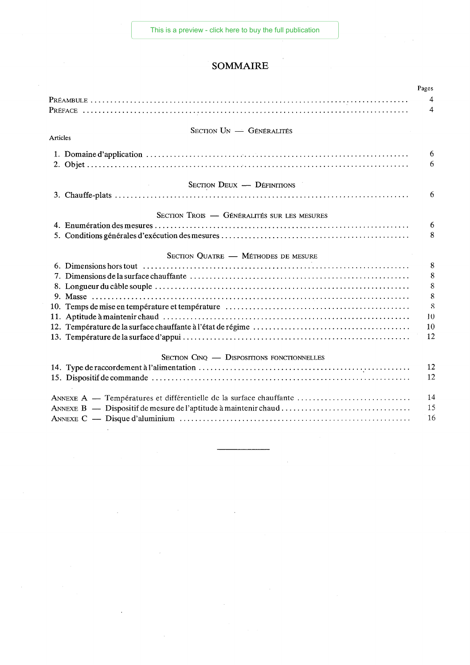— **2 —** [This is a preview - click here to buy the full publication](https://webstore.iec.ch/publication/2266&preview=1)

# **SOMMAIRE**

|                                                                    | Pages          |  |
|--------------------------------------------------------------------|----------------|--|
|                                                                    | $\overline{4}$ |  |
|                                                                    | $\overline{4}$ |  |
|                                                                    |                |  |
| SECTION UN - GÉNÉRALITÉS<br>Articles                               |                |  |
|                                                                    |                |  |
|                                                                    | 6              |  |
|                                                                    | 6              |  |
| SECTION DEUX - DÉFINITIONS                                         |                |  |
|                                                                    | 6              |  |
|                                                                    |                |  |
| SECTION TROIS - GÉNÉRALITÉS SUR LES MESURES                        |                |  |
|                                                                    | 6              |  |
|                                                                    | 8              |  |
| SECTION QUATRE - MÉTHODES DE MESURE                                |                |  |
|                                                                    | 8              |  |
|                                                                    | 8              |  |
|                                                                    |                |  |
|                                                                    | 8              |  |
|                                                                    |                |  |
|                                                                    | 10             |  |
|                                                                    | 10             |  |
|                                                                    | 12             |  |
| SECTION CINQ - DISPOSITIONS FONCTIONNELLES                         |                |  |
|                                                                    | 12             |  |
|                                                                    | 12             |  |
|                                                                    |                |  |
| ANNEXE A — Températures et différentielle de la surface chauffante | 14             |  |
|                                                                    | 15             |  |
|                                                                    | 16             |  |
|                                                                    |                |  |

l,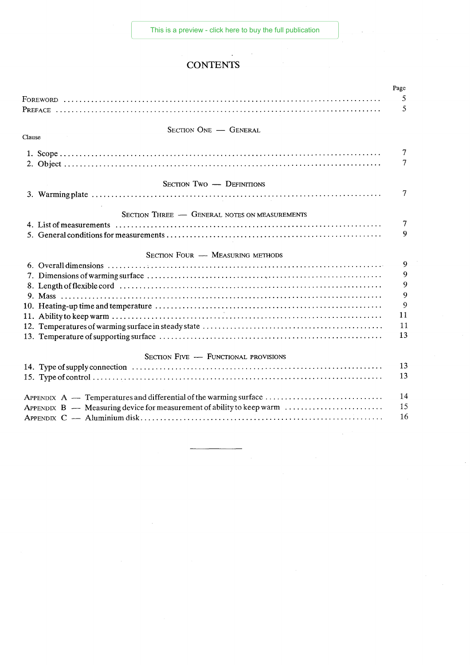## **CONTENTS**

|                                                                                                                                                                                                                                                                                                                                                                                                                                                                                                                                                                                                              | Page   |  |
|--------------------------------------------------------------------------------------------------------------------------------------------------------------------------------------------------------------------------------------------------------------------------------------------------------------------------------------------------------------------------------------------------------------------------------------------------------------------------------------------------------------------------------------------------------------------------------------------------------------|--------|--|
|                                                                                                                                                                                                                                                                                                                                                                                                                                                                                                                                                                                                              | 5      |  |
|                                                                                                                                                                                                                                                                                                                                                                                                                                                                                                                                                                                                              | 5      |  |
|                                                                                                                                                                                                                                                                                                                                                                                                                                                                                                                                                                                                              |        |  |
| SECTION ONE - GENERAL                                                                                                                                                                                                                                                                                                                                                                                                                                                                                                                                                                                        |        |  |
| Clause                                                                                                                                                                                                                                                                                                                                                                                                                                                                                                                                                                                                       |        |  |
|                                                                                                                                                                                                                                                                                                                                                                                                                                                                                                                                                                                                              | 7      |  |
|                                                                                                                                                                                                                                                                                                                                                                                                                                                                                                                                                                                                              | 7      |  |
|                                                                                                                                                                                                                                                                                                                                                                                                                                                                                                                                                                                                              |        |  |
| <b>SECTION TWO - DEFINITIONS</b>                                                                                                                                                                                                                                                                                                                                                                                                                                                                                                                                                                             |        |  |
|                                                                                                                                                                                                                                                                                                                                                                                                                                                                                                                                                                                                              | 7      |  |
|                                                                                                                                                                                                                                                                                                                                                                                                                                                                                                                                                                                                              |        |  |
| SECTION THREE - GENERAL NOTES ON MEASUREMENTS                                                                                                                                                                                                                                                                                                                                                                                                                                                                                                                                                                | $\tau$ |  |
|                                                                                                                                                                                                                                                                                                                                                                                                                                                                                                                                                                                                              |        |  |
|                                                                                                                                                                                                                                                                                                                                                                                                                                                                                                                                                                                                              | 9      |  |
| <b>SECTION FOUR - MEASURING METHODS</b>                                                                                                                                                                                                                                                                                                                                                                                                                                                                                                                                                                      |        |  |
|                                                                                                                                                                                                                                                                                                                                                                                                                                                                                                                                                                                                              | 9      |  |
|                                                                                                                                                                                                                                                                                                                                                                                                                                                                                                                                                                                                              | 9      |  |
|                                                                                                                                                                                                                                                                                                                                                                                                                                                                                                                                                                                                              | 9      |  |
|                                                                                                                                                                                                                                                                                                                                                                                                                                                                                                                                                                                                              | 9      |  |
|                                                                                                                                                                                                                                                                                                                                                                                                                                                                                                                                                                                                              | 9      |  |
|                                                                                                                                                                                                                                                                                                                                                                                                                                                                                                                                                                                                              | 11     |  |
|                                                                                                                                                                                                                                                                                                                                                                                                                                                                                                                                                                                                              | 11     |  |
|                                                                                                                                                                                                                                                                                                                                                                                                                                                                                                                                                                                                              | 13     |  |
|                                                                                                                                                                                                                                                                                                                                                                                                                                                                                                                                                                                                              |        |  |
| SECTION FIVE - FUNCTIONAL PROVISIONS                                                                                                                                                                                                                                                                                                                                                                                                                                                                                                                                                                         |        |  |
|                                                                                                                                                                                                                                                                                                                                                                                                                                                                                                                                                                                                              | 13     |  |
|                                                                                                                                                                                                                                                                                                                                                                                                                                                                                                                                                                                                              | 13     |  |
|                                                                                                                                                                                                                                                                                                                                                                                                                                                                                                                                                                                                              | 14     |  |
| APPENDIX A — Temperatures and differential of the warming surface                                                                                                                                                                                                                                                                                                                                                                                                                                                                                                                                            | 15     |  |
| APPENDIX $B - M$ easuring device for measurement of ability to keep warm $\ldots \ldots \ldots \ldots \ldots \ldots$                                                                                                                                                                                                                                                                                                                                                                                                                                                                                         |        |  |
| $APPENDIX C \nightharpoonup \nightharpoonup \nightharpoonup \nightharpoonup \nightharpoonup \nightharpoonup \nightharpoonup \nightharpoonup \nightharpoonup \nightharpoonup \nightharpoonup \nightharpoonup \nightharpoonup \nightharpoonup \nightharpoonup \nightharpoonup \nightharpoonup \nightharpoonup \nightharpoonup \nightharpoonup \nightharpoonup \nightharpoonup \nightharpoonup \nightharpoonup \nightharpoonup \nightharpoonup \nightharpoonup \nightharpoonup \nightharpoonup \nightharpoonup \nightharpoonup \nightharpoonup \nightharpoonup \nightharpoonup \nightharpoonup \nightharpoonup$ | 16     |  |
|                                                                                                                                                                                                                                                                                                                                                                                                                                                                                                                                                                                                              |        |  |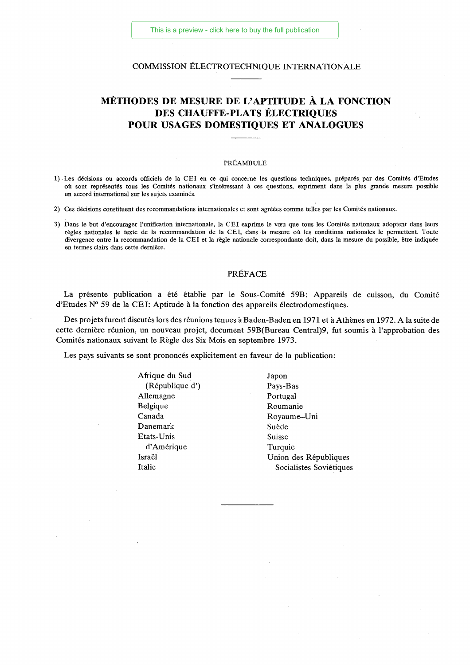#### COMMISSION ÉLECTROTECHNIQUE INTERNATIONALE

## MÉTHODES DE MESURE DE L'APTITUDE À LA FONCTION DES CHAUFFE-PLATS ÉLECTRIQUES POUR USAGES DOMESTIQUES ET ANALOGUES

#### PRÉAMBULE

- 1) . Les décisions ou accords officiels de la CEI en ce qui concerne les questions techniques, préparés par des Comités d'Etudes où sont représentés tous les Comités nationaux s'intéressant à ces questions, expriment dans la plus grande mesure possible un accord international sur les sujets examinés.
- 2) Ces décisions constituent des recommandations internationales et sont agréées comme telles par les Comités nationaux.
- 3) Dans le but d'encourager l'unification internationale, la CEI exprime le voeu que tous les Comités nationaux adoptent dans leurs règles nationales le texte de la recommandation de la CEI, dans la mesure où les conditions nationales le permettent. Toute divergence entre la recommandation de la CEI et la règle nationale correspondante doit, dans la mesure du possible, être indiquée en termes clairs dans cette dernière.

#### PRÉFACE

La présente publication a été établie par le Sous-Comité 59B: Appareils de cuisson, du Comité d'Etudes N° 59 de la CEI: Aptitude à la fonction des appareils électrodomestiques.

Des projets furent discutés lors des réunions tenues à Baden-B aden en 1971 et à Athènes en 1972. A la suite de cette dernière réunion, un nouveau projet, document 59B(Bureau Central)9, fut soumis à l'approbation des Comités nationaux suivant le Règle des Six Mois en septembre 1973.

Les pays suivants se sont prononcés explicitement en faveur de la publication:

Afrique du Sud Japon (République d') Pays-Bas Allemagne Portugal Belgique Roumanie Canada Royaume—Uni Danemark Suède Etats-Unis Suisse d'Amérique Turquie

Israël Union des Républiques Italie Socialistes Soviétiques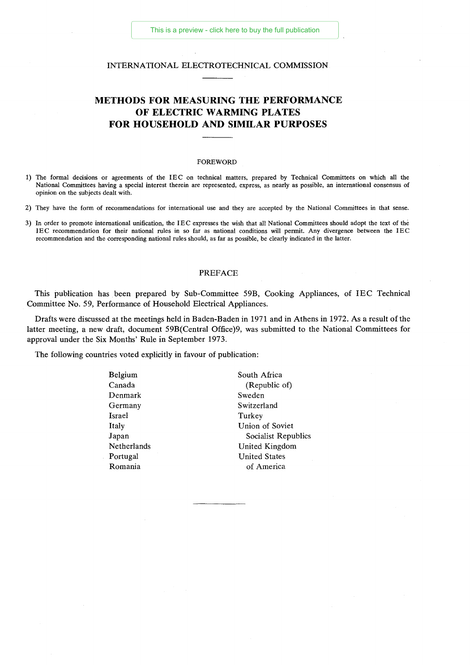#### INTERNATIONAL ELECTROTECHNICAL COMMISSION

## **METHODS FOR MEASURING THE PERFORMANCE OF ELECTRIC WARMING PLATES FOR HOUSEHOLD AND SIMILAR PURPOSES**

#### FOREWORD

- 1) The formal decisions or agreements of the IEC on technical matters, prepared by Technical Committees on which all the National Committees having a special interest therein are represented, express, as nearly as possible, an international consensus of opinion on the subjects dealt with.
- 2) They have the form of recommendations for international use and they are accepted by the National Committees in that sense.
- 3) In order to promote international unification, the IEC expresses the wish that all National Committees should adopt the text of the IEC recommendation for their national rules in so far as national conditions will permit. Any divergence between the IEC recommendation and the corresponding national rules should, as far as possible, be clearly indicated in the latter.

#### PREFACE

This publication has been prepared by Sub-Committee 59B, Cooking Appliances, of IEC Technical Committee No. 59, Performance of Household Electrical Appliances.

Drafts were discussed at the meetings held in Baden-Baden in 1971 and in Athens in 1972. As a result of the latter meeting, a new draft, document 59B(Central Office)9, was submitted to the National Committees for approval under the Six Months' Rule in September 1973.

The following countries voted explicitly in favour of publication:

| Belgium            | South Africa         |
|--------------------|----------------------|
| Canada             | (Republic of)        |
| Denmark            | Sweden               |
| Germany            | Switzerland          |
| Israel             | Turkey               |
| Italy              | Union of Soviet      |
| Japan              | Socialist Republics  |
| <b>Netherlands</b> | United Kingdom       |
| Portugal           | <b>United States</b> |
| Romania            | of America           |
|                    |                      |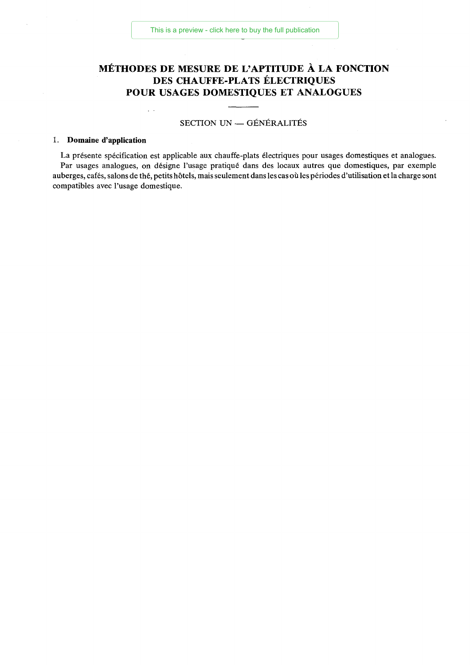## MÉTHODES DE MESURE DE L'APTITUDE À LA FONCTION DES CHAUFFE-PLATS ÉLECTRIQUES POUR USAGES DOMESTIQUES ET ANALOGUES

#### SECTION UN — GÉNÉRALITÉS

#### 1. **Domaine d'application**

 $\sim$   $\sim$ 

La présente spécification est applicable aux chauffe-plats électriques pour usages domestiques et analogues. Par usages analogues, on désigne l'usage pratiqué dans des locaux autres que domestiques, par exemple auberges, cafés, salons de thé, petits hôtels, mais seulement dans les cas où les périodes d'utilisation et la charge sont compatibles avec l'usage domestique.